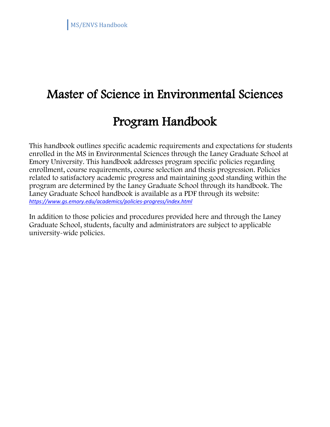# Master of Science in Environmental Sciences

## Program Handbook

 This handbook outlines specific academic requirements and expectations for students enrolled in the MS in Environmental Sciences through the Laney Graduate School at Emory University. This handbook addresses program specific policies regarding enrollment, course requirements, course selection and thesis progression. Policies related to satisfactory academic progress and maintaining good standing within the program are determined by the Laney Graduate School through its handbook. The Laney Graduate School handbook is available as a PDF through its website: *<https://www.gs.emory.edu/academics/policies-progress/index.html>*

In addition to those policies and procedures provided here and through the Laney Graduate School, students, faculty and administrators are subject to applicable university-wide policies.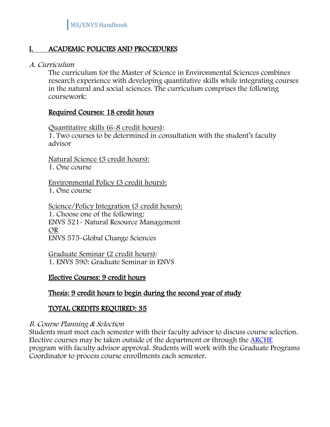## I. ACADEMIC POLICIES AND PROCEDURES

#### A. Curriculum

The curriculum for the Master of Science in Environmental Sciences combines research experience with developing quantitative skills while integrating courses in the natural and social sciences. The curriculum comprises the following coursework:

#### Required Courses: 18 credit hours

Quantitative skills (6-8 credit hours): 1. Two courses to be determined in consultation with the student's faculty advisor

Natural Science (3 credit hours): 1. One course

Environmental Policy (3 credit hours): 1. One course

Science/Policy Integration (3 credit hours): 1. Choose one of the following: ENVS 521- Natural Resource Management OR ENVS 575-Global Change Sciences

Graduate Seminar (2 credit hours): 1. ENVS 590: Graduate Seminar in ENVS

#### Elective Courses: 9 credit hours

## Thesis: 9 credit hours to begin during the second year of study

## TOTAL CREDITS REQUIRED: 35

#### B. Course Planning & Selection

Students must meet each semester with their faculty advisor to discuss course selection. Elective courses may be taken outside of the department or through the [ARCHE](https://registrar.emory.edu/registration/cross-registration/index.html) program with faculty advisor approval. Students will work with the Graduate Programs Coordinator to process course enrollments each semester.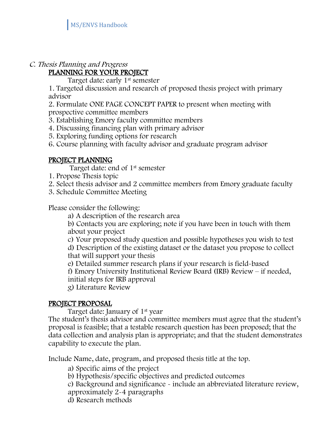#### C. Thesis Planning and Progress PLANNING FOR YOUR PROJECT

Target date: early 1<sup>st</sup> semester

1. Targeted discussion and research of proposed thesis project with primary advisor

2. Formulate ONE PAGE CONCEPT PAPER to present when meeting with prospective committee members

3. Establishing Emory faculty committee members

4. Discussing financing plan with primary advisor

5. Exploring funding options for research

6. Course planning with faculty advisor and graduate program advisor

#### PROJECT PLANNING

Target date: end of 1st semester

- 1. Propose Thesis topic
- 2. Select thesis advisor and 2 committee members from Emory graduate faculty
- 3. Schedule Committee Meeting

Please consider the following:

a) A description of the research area

b) Contacts you are exploring; note if you have been in touch with them about your project

c) Your proposed study question and possible hypotheses you wish to test d) Description of the existing dataset or the dataset you propose to collect that will support your thesis

e) Detailed summer research plans if your research is field-based

f) Emory University Institutional Review Board (IRB) Review – if needed, initial steps for IRB approval

g) Literature Review

#### PROJECT PROPOSAL

Target date: January of 1st year

The student's thesis advisor and committee members must agree that the student's proposal is feasible; that a testable research question has been proposed; that the data collection and analysis plan is appropriate; and that the student demonstrates capability to execute the plan.

Include Name, date, program, and proposed thesis title at the top.

a) Specific aims of the project

- b) Hypothesis/specific objectives and predicted outcomes
- c) Background and significance include an abbreviated literature review,
- approximately 2-4 paragraphs
- d) Research methods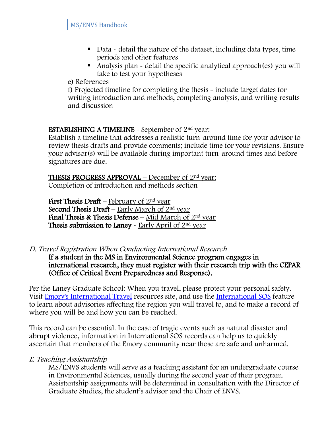- Data detail the nature of the dataset, including data types, time periods and other features
- Analysis plan detail the specific analytical approach(es) you will take to test your hypotheses

e) References

f) Projected timeline for completing the thesis - include target dates for writing introduction and methods, completing analysis, and writing results and discussion

## **ESTABLISHING A TIMELINE** - September of  $2<sup>nd</sup>$  year:

Establish a timeline that addresses a realistic turn-around time for your advisor to review thesis drafts and provide comments; include time for your revisions. Ensure your advisor(s) will be available during important turn-around times and before signatures are due.

**THESIS PROGRESS APPROVAL** – December of  $2<sup>nd</sup>$  year: Completion of introduction and methods section

**First Thesis Draft** – February of  $2<sup>nd</sup>$  year Second Thesis Draft – Early March of  $2<sup>nd</sup>$  year Final Thesis & Thesis Defense – Mid March of  $2<sup>nd</sup>$  year Thesis submission to Laney - Early April of 2nd year

D. Travel Registration When Conducting International Research

If a student in the MS in Environmental Science program engages in international research, they must register with their research trip with the CEPAR (Office of Critical Event Preparedness and Response).

Per the Laney Graduate School: When you travel, please protect your personal safety. Visit [Emory's International Travel](https://global.emory.edu/services/travel/index.html) resources site, and use the [International SOS](https://global.emory.edu/services/travel/isos.html) feature to learn about advisories affecting the region you will travel to, and to make a record of where you will be and how you can be reached.

This record can be essential. In the case of tragic events such as natural disaster and abrupt violence, information in International SOS records can help us to quickly ascertain that members of the Emory community near those are safe and unharmed.

## E. Teaching Assistantship

MS/ENVS students will serve as a teaching assistant for an undergraduate course in Environmental Sciences, usually during the second year of their program. Assistantship assignments will be determined in consultation with the Director of Graduate Studies, the student's advisor and the Chair of ENVS.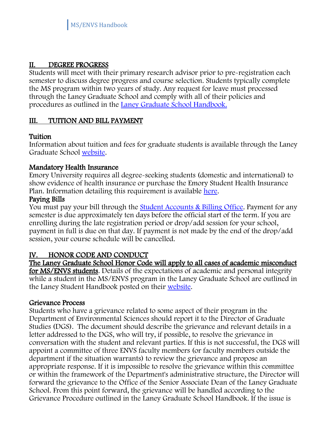## II. DEGREE PROGRESS

Students will meet with their primary research advisor prior to pre-registration each semester to discuss degree progress and course selection. Students typically complete the MS program within two years of study. Any request for leave must processed through the Laney Graduate School and comply with all of their policies and procedures as outlined in the [Laney Graduate School Handbook.](https://www.gs.emory.edu/academics/policies-progress/index.html)

## III. TUITION AND BILL PAYMENT

## Tuition

Information about tuition and fees for graduate students is available through the Laney Graduate School [website.](https://www.gs.emory.edu/funding/tuition.html)

## Mandatory Health Insurance

Emory University requires all degree-seeking students (domestic and international) to show evidence of health insurance or purchase the Emory Student Health Insurance Plan. Information detailing this requirement is available [here.](https://studenthealth.emory.edu/insurance/requirement.html)

## Paying Bills

You must pay your bill through the [Student Accounts & Billing Office.](https://studentaccounts.emory.edu/) Payment for any semester is due approximately ten days before the official start of the term. If you are enrolling during the late registration period or drop/add session for your school, payment in full is due on that day. If payment is not made by the end of the drop/add session, your course schedule will be cancelled.

## IV. HONOR CODE AND CONDUCT

The Laney Graduate School Honor Code will apply to all cases of academic misconduct for MS/ENVS students. Details of the expectations of academic and personal integrity while a student in the MS/ENVS program in the Laney Graduate School are outlined in the Laney Student Handbook posted on their [website.](https://www.gs.emory.edu/academics/policies-progress/index.html)

#### Grievance Process

Students who have a grievance related to some aspect of their program in the Department of Environmental Sciences should report it to the Director of Graduate Studies (DGS). The document should describe the grievance and relevant details in a letter addressed to the DGS, who will try, if possible, to resolve the grievance in conversation with the student and relevant parties. If this is not successful, the DGS will appoint a committee of three ENVS faculty members (or faculty members outside the department if the situation warrants) to review the grievance and propose an appropriate response. If it is impossible to resolve the grievance within this committee or within the framework of the Department's administrative structure, the Director will forward the grievance to the Office of the Senior Associate Dean of the Laney Graduate School. From this point forward, the grievance will be handled according to the Grievance Procedure outlined in the Laney Graduate School Handbook. If the issue is